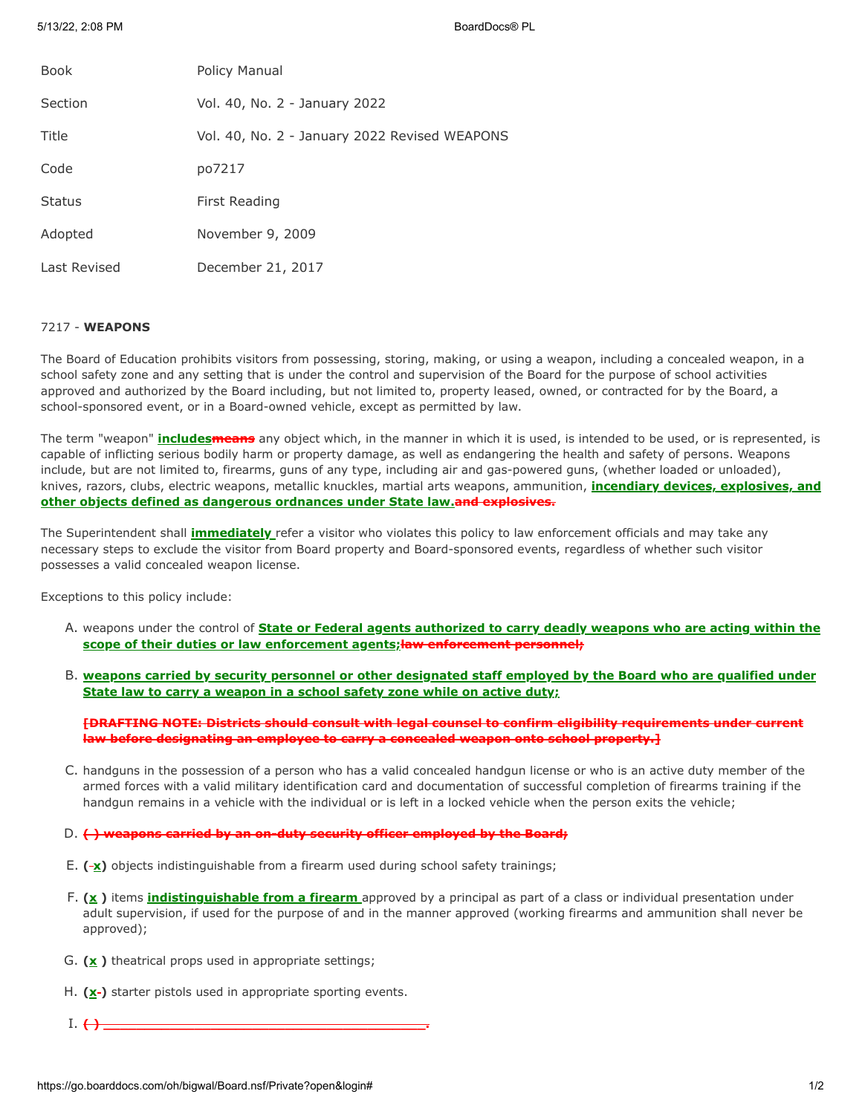5/13/22, 2:08 PM BoardDocs® PL

| <b>Book</b>   | Policy Manual                                 |
|---------------|-----------------------------------------------|
| Section       | Vol. 40, No. 2 - January 2022                 |
| Title         | Vol. 40, No. 2 - January 2022 Revised WEAPONS |
| Code          | po7217                                        |
| <b>Status</b> | First Reading                                 |
| Adopted       | November 9, 2009                              |
| Last Revised  | December 21, 2017                             |

# 7217 - **WEAPONS**

The Board of Education prohibits visitors from possessing, storing, making, or using a weapon, including a concealed weapon, in a school safety zone and any setting that is under the control and supervision of the Board for the purpose of school activities approved and authorized by the Board including, but not limited to, property leased, owned, or contracted for by the Board, a school-sponsored event, or in a Board-owned vehicle, except as permitted by law.

The term "weapon" **includesmeans** any object which, in the manner in which it is used, is intended to be used, or is represented, is capable of inflicting serious bodily harm or property damage, as well as endangering the health and safety of persons. Weapons include, but are not limited to, firearms, guns of any type, including air and gas-powered guns, (whether loaded or unloaded), knives, razors, clubs, electric weapons, metallic knuckles, martial arts weapons, ammunition, **incendiary devices, explosives, and other objects defined as dangerous ordnances under State law.and explosives.**

The Superintendent shall **immediately** refer a visitor who violates this policy to law enforcement officials and may take any necessary steps to exclude the visitor from Board property and Board-sponsored events, regardless of whether such visitor possesses a valid concealed weapon license.

Exceptions to this policy include:

- A. weapons under the control of **State or Federal agents authorized to carry deadly weapons who are acting within the scope of their duties or law enforcement agents;law enforcement personnel;**
- B. **weapons carried by security personnel or other designated staff employed by the Board who are qualified under State law to carry a weapon in a school safety zone while on active duty;**

**[DRAFTING NOTE: Districts should consult with legal counsel to confirm eligibility requirements under current law before designating an employee to carry a concealed weapon onto school property.]**

C. handguns in the possession of a person who has a valid concealed handgun license or who is an active duty member of the armed forces with a valid military identification card and documentation of successful completion of firearms training if the handgun remains in a vehicle with the individual or is left in a locked vehicle when the person exits the vehicle;

## D. **( ) weapons carried by an on-duty security officer employed by the Board;**

- E. **( x)** objects indistinguishable from a firearm used during school safety trainings;
- F. **(x )** items **indistinguishable from a firearm** approved by a principal as part of a class or individual presentation under adult supervision, if used for the purpose of and in the manner approved (working firearms and ammunition shall never be approved);
- G. **(x )** theatrical props used in appropriate settings;
- H. (x<sup>-</sup>) starter pistols used in appropriate sporting events.
- $I. \leftrightarrow \qquad \qquad$